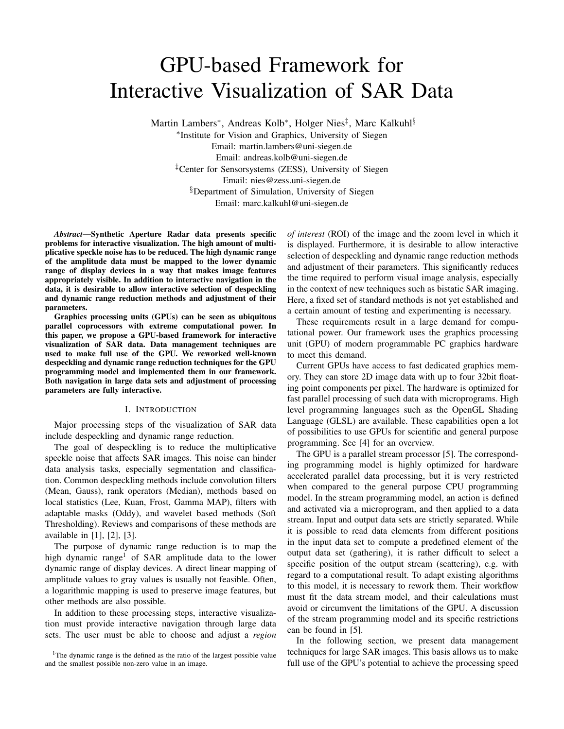# GPU-based Framework for Interactive Visualization of SAR Data

Martin Lambers<sup>∗</sup>, Andreas Kolb<sup>∗</sup>, Holger Nies<sup>‡</sup>, Marc Kalkuhl<sup>§</sup>

∗ Institute for Vision and Graphics, University of Siegen Email: martin.lambers@uni-siegen.de Email: andreas.kolb@uni-siegen.de ‡Center for Sensorsystems (ZESS), University of Siegen Email: nies@zess.uni-siegen.de §Department of Simulation, University of Siegen Email: marc.kalkuhl@uni-siegen.de

*Abstract*—Synthetic Aperture Radar data presents specific problems for interactive visualization. The high amount of multiplicative speckle noise has to be reduced. The high dynamic range of the amplitude data must be mapped to the lower dynamic range of display devices in a way that makes image features appropriately visible. In addition to interactive navigation in the data, it is desirable to allow interactive selection of despeckling and dynamic range reduction methods and adjustment of their parameters.

Graphics processing units (GPUs) can be seen as ubiquitous parallel coprocessors with extreme computational power. In this paper, we propose a GPU-based framework for interactive visualization of SAR data. Data management techniques are used to make full use of the GPU. We reworked well-known despeckling and dynamic range reduction techniques for the GPU programming model and implemented them in our framework. Both navigation in large data sets and adjustment of processing parameters are fully interactive.

### I. INTRODUCTION

Major processing steps of the visualization of SAR data include despeckling and dynamic range reduction.

The goal of despeckling is to reduce the multiplicative speckle noise that affects SAR images. This noise can hinder data analysis tasks, especially segmentation and classification. Common despeckling methods include convolution filters (Mean, Gauss), rank operators (Median), methods based on local statistics (Lee, Kuan, Frost, Gamma MAP), filters with adaptable masks (Oddy), and wavelet based methods (Soft Thresholding). Reviews and comparisons of these methods are available in [1], [2], [3].

The purpose of dynamic range reduction is to map the high dynamic range<sup>1</sup> of SAR amplitude data to the lower dynamic range of display devices. A direct linear mapping of amplitude values to gray values is usually not feasible. Often, a logarithmic mapping is used to preserve image features, but other methods are also possible.

In addition to these processing steps, interactive visualization must provide interactive navigation through large data sets. The user must be able to choose and adjust a *region* *of interest* (ROI) of the image and the zoom level in which it is displayed. Furthermore, it is desirable to allow interactive selection of despeckling and dynamic range reduction methods and adjustment of their parameters. This significantly reduces the time required to perform visual image analysis, especially in the context of new techniques such as bistatic SAR imaging. Here, a fixed set of standard methods is not yet established and a certain amount of testing and experimenting is necessary.

These requirements result in a large demand for computational power. Our framework uses the graphics processing unit (GPU) of modern programmable PC graphics hardware to meet this demand.

Current GPUs have access to fast dedicated graphics memory. They can store 2D image data with up to four 32bit floating point components per pixel. The hardware is optimized for fast parallel processing of such data with microprograms. High level programming languages such as the OpenGL Shading Language (GLSL) are available. These capabilities open a lot of possibilities to use GPUs for scientific and general purpose programming. See [4] for an overview.

The GPU is a parallel stream processor [5]. The corresponding programming model is highly optimized for hardware accelerated parallel data processing, but it is very restricted when compared to the general purpose CPU programming model. In the stream programming model, an action is defined and activated via a microprogram, and then applied to a data stream. Input and output data sets are strictly separated. While it is possible to read data elements from different positions in the input data set to compute a predefined element of the output data set (gathering), it is rather difficult to select a specific position of the output stream (scattering), e.g. with regard to a computational result. To adapt existing algorithms to this model, it is necessary to rework them. Their workflow must fit the data stream model, and their calculations must avoid or circumvent the limitations of the GPU. A discussion of the stream programming model and its specific restrictions can be found in [5].

In the following section, we present data management techniques for large SAR images. This basis allows us to make full use of the GPU's potential to achieve the processing speed

<sup>&</sup>lt;sup>1</sup>The dynamic range is the defined as the ratio of the largest possible value and the smallest possible non-zero value in an image.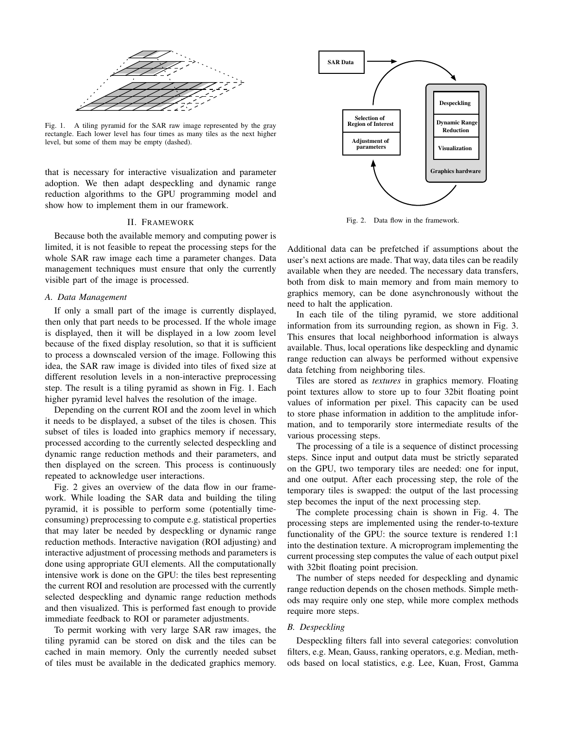

Fig. 1. A tiling pyramid for the SAR raw image represented by the gray rectangle. Each lower level has four times as many tiles as the next higher level, but some of them may be empty (dashed).

that is necessary for interactive visualization and parameter adoption. We then adapt despeckling and dynamic range reduction algorithms to the GPU programming model and show how to implement them in our framework.

# II. FRAMEWORK

Because both the available memory and computing power is limited, it is not feasible to repeat the processing steps for the whole SAR raw image each time a parameter changes. Data management techniques must ensure that only the currently visible part of the image is processed.

# *A. Data Management*

If only a small part of the image is currently displayed, then only that part needs to be processed. If the whole image is displayed, then it will be displayed in a low zoom level because of the fixed display resolution, so that it is sufficient to process a downscaled version of the image. Following this idea, the SAR raw image is divided into tiles of fixed size at different resolution levels in a non-interactive preprocessing step. The result is a tiling pyramid as shown in Fig. 1. Each higher pyramid level halves the resolution of the image.

Depending on the current ROI and the zoom level in which it needs to be displayed, a subset of the tiles is chosen. This subset of tiles is loaded into graphics memory if necessary, processed according to the currently selected despeckling and dynamic range reduction methods and their parameters, and then displayed on the screen. This process is continuously repeated to acknowledge user interactions.

Fig. 2 gives an overview of the data flow in our framework. While loading the SAR data and building the tiling pyramid, it is possible to perform some (potentially timeconsuming) preprocessing to compute e.g. statistical properties that may later be needed by despeckling or dynamic range reduction methods. Interactive navigation (ROI adjusting) and interactive adjustment of processing methods and parameters is done using appropriate GUI elements. All the computationally intensive work is done on the GPU: the tiles best representing the current ROI and resolution are processed with the currently selected despeckling and dynamic range reduction methods and then visualized. This is performed fast enough to provide immediate feedback to ROI or parameter adjustments.

To permit working with very large SAR raw images, the tiling pyramid can be stored on disk and the tiles can be cached in main memory. Only the currently needed subset of tiles must be available in the dedicated graphics memory.



Fig. 2. Data flow in the framework.

Additional data can be prefetched if assumptions about the user's next actions are made. That way, data tiles can be readily available when they are needed. The necessary data transfers, both from disk to main memory and from main memory to graphics memory, can be done asynchronously without the need to halt the application.

In each tile of the tiling pyramid, we store additional information from its surrounding region, as shown in Fig. 3. This ensures that local neighborhood information is always available. Thus, local operations like despeckling and dynamic range reduction can always be performed without expensive data fetching from neighboring tiles.

Tiles are stored as *textures* in graphics memory. Floating point textures allow to store up to four 32bit floating point values of information per pixel. This capacity can be used to store phase information in addition to the amplitude information, and to temporarily store intermediate results of the various processing steps.

The processing of a tile is a sequence of distinct processing steps. Since input and output data must be strictly separated on the GPU, two temporary tiles are needed: one for input, and one output. After each processing step, the role of the temporary tiles is swapped: the output of the last processing step becomes the input of the next processing step.

The complete processing chain is shown in Fig. 4. The processing steps are implemented using the render-to-texture functionality of the GPU: the source texture is rendered 1:1 into the destination texture. A microprogram implementing the current processing step computes the value of each output pixel with 32bit floating point precision.

The number of steps needed for despeckling and dynamic range reduction depends on the chosen methods. Simple methods may require only one step, while more complex methods require more steps.

# *B. Despeckling*

Despeckling filters fall into several categories: convolution filters, e.g. Mean, Gauss, ranking operators, e.g. Median, methods based on local statistics, e.g. Lee, Kuan, Frost, Gamma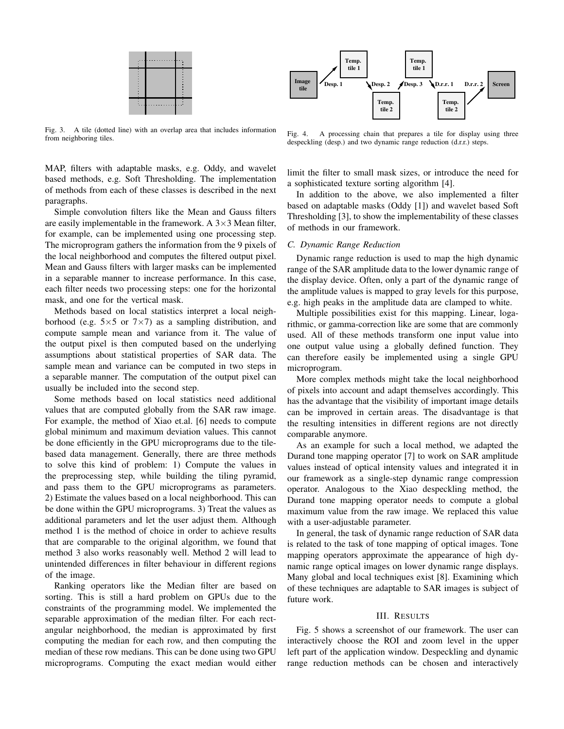

Fig. 3. A tile (dotted line) with an overlap area that includes information from neighboring tiles.

MAP, filters with adaptable masks, e.g. Oddy, and wavelet based methods, e.g. Soft Thresholding. The implementation of methods from each of these classes is described in the next paragraphs.

Simple convolution filters like the Mean and Gauss filters are easily implementable in the framework. A  $3\times3$  Mean filter, for example, can be implemented using one processing step. The microprogram gathers the information from the 9 pixels of the local neighborhood and computes the filtered output pixel. Mean and Gauss filters with larger masks can be implemented in a separable manner to increase performance. In this case, each filter needs two processing steps: one for the horizontal mask, and one for the vertical mask.

Methods based on local statistics interpret a local neighborhood (e.g.  $5\times 5$  or  $7\times 7$ ) as a sampling distribution, and compute sample mean and variance from it. The value of the output pixel is then computed based on the underlying assumptions about statistical properties of SAR data. The sample mean and variance can be computed in two steps in a separable manner. The computation of the output pixel can usually be included into the second step.

Some methods based on local statistics need additional values that are computed globally from the SAR raw image. For example, the method of Xiao et.al. [6] needs to compute global minimum and maximum deviation values. This cannot be done efficiently in the GPU microprograms due to the tilebased data management. Generally, there are three methods to solve this kind of problem: 1) Compute the values in the preprocessing step, while building the tiling pyramid, and pass them to the GPU microprograms as parameters. 2) Estimate the values based on a local neighborhood. This can be done within the GPU microprograms. 3) Treat the values as additional parameters and let the user adjust them. Although method 1 is the method of choice in order to achieve results that are comparable to the original algorithm, we found that method 3 also works reasonably well. Method 2 will lead to unintended differences in filter behaviour in different regions of the image. **Example 18** and the state of the state of the median state median state and the state of the state median state and the state of the median state median median state in the state median median state median would either wo

Ranking operators like the Median filter are based on sorting. This is still a hard problem on GPUs due to the constraints of the programming model. We implemented the separable approximation of the median filter. For each rectangular neighborhood, the median is approximated by first computing the median for each row, and then computing the median of these row medians. This can be done using two GPU



Fig. 4. A processing chain that prepares a tile for display using three despeckling (desp.) and two dynamic range reduction (d.r.r.) steps.

limit the filter to small mask sizes, or introduce the need for a sophisticated texture sorting algorithm [4].

In addition to the above, we also implemented a filter based on adaptable masks (Oddy [1]) and wavelet based Soft Thresholding [3], to show the implementability of these classes of methods in our framework.

#### *C. Dynamic Range Reduction*

Dynamic range reduction is used to map the high dynamic range of the SAR amplitude data to the lower dynamic range of the display device. Often, only a part of the dynamic range of the amplitude values is mapped to gray levels for this purpose, e.g. high peaks in the amplitude data are clamped to white.

Multiple possibilities exist for this mapping. Linear, logarithmic, or gamma-correction like are some that are commonly used. All of these methods transform one input value into one output value using a globally defined function. They can therefore easily be implemented using a single GPU microprogram.

More complex methods might take the local neighborhood of pixels into account and adapt themselves accordingly. This has the advantage that the visibility of important image details can be improved in certain areas. The disadvantage is that the resulting intensities in different regions are not directly comparable anymore.

As an example for such a local method, we adapted the Durand tone mapping operator [7] to work on SAR amplitude values instead of optical intensity values and integrated it in our framework as a single-step dynamic range compression operator. Analogous to the Xiao despeckling method, the Durand tone mapping operator needs to compute a global maximum value from the raw image. We replaced this value with a user-adjustable parameter.

In general, the task of dynamic range reduction of SAR data is related to the task of tone mapping of optical images. Tone mapping operators approximate the appearance of high dynamic range optical images on lower dynamic range displays. Many global and local techniques exist [8]. Examining which of these techniques are adaptable to SAR images is subject of future work.

#### III. RESULTS

Fig. 5 shows a screenshot of our framework. The user can interactively choose the ROI and zoom level in the upper left part of the application window. Despeckling and dynamic range reduction methods can be chosen and interactively